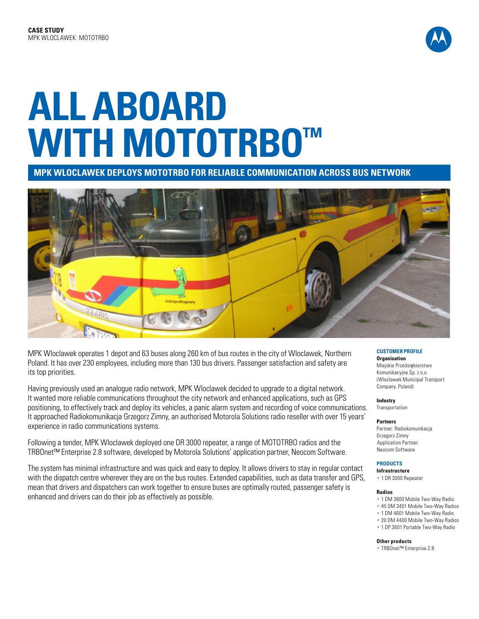

# **ALL ABOARD WITH MOTOTRBO™**

**MPK WLOCLAWEK DEPLOYS MOTOTRBO FOR RELIABLE COMMUNICATION ACROSS BUS NETWORK**



MPK Wloclawek operates 1 depot and 63 buses along 260 km of bus routes in the city of Wloclawek, Northern Poland. It has over 230 employees, including more than 130 bus drivers. Passenger satisfaction and safety are its top priorities.

Having previously used an analogue radio network, MPK Wloclawek decided to upgrade to a digital network. It wanted more reliable communications throughout the city network and enhanced applications, such as GPS positioning, to effectively track and deploy its vehicles, a panic alarm system and recording of voice communications. It approached Radiokomunikacja Grzegorz Zimny, an authorised Motorola Solutions radio reseller with over 15 years' experience in radio communications systems.

Following a tender, MPK Wloclawek deployed one DR 3000 repeater, a range of MOTOTRBO radios and the TRBOnet™ Enterprise 2.8 software, developed by Motorola Solutions' application partner, Neocom Software.

The system has minimal infrastructure and was quick and easy to deploy. It allows drivers to stay in regular contact with the dispatch centre wherever they are on the bus routes. Extended capabilities, such as data transfer and GPS, mean that drivers and dispatchers can work together to ensure buses are optimally routed, passenger safety is enhanced and drivers can do their job as effectively as possible.

#### **CUSTOMER PROFILE Organisation**

Miejskie Przedsiębiorstwo Komunikacyjne Sp. z o.o. (Wloclawek Municipal Transport Company, Poland)

## **Industry**

**Transportation** 

## **Partners**

Partner: Radiokomunikacja Grzegorz Zimny Application Partner: Neocom Software

## **PRODUCTS**

**Infrastructure** • 1 DR 3000 Repeater

#### **Radios**

- 1 DM 3600 Mobile Two-Way Radio
- 45 DM 3401 Mobile Two-Way Radios
- 1 DM 4601 Mobile Two-Way Radio • 20 DM 4400 Mobile Two-Way Radios
- 1 DP 3601 Portable Two-Way Radio

#### **Other products**

• TRBOnet™ Enterprise 2.8